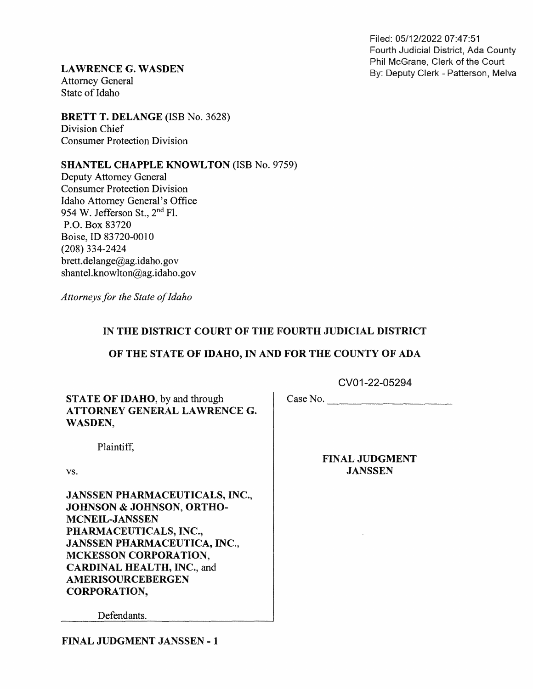Filed: 05/12/2022 07:47:51 Fourth Judicial District, Ada County

LAWRENCE G. WASDEN By: Deputy Clerk of the Court Phil McGrane, Clerk of the Court<br>Attorney General By: Deputy Clerk - Patterson, Melva State of Idaho

BRETT T. DELANGE (ISB No. 3628)<br>Division Chief Consumer Protection Division

SHANTEL CHAPPLE KNOWLTON (ISB No. 9759)

Deputy Attorney General Consumer Protection Division Idaho Attorney General's Office 954 W. Jefferson St., 2<sup>nd</sup> Fl. P.O. Box 83720 Boise, ID 83720-0010 (208) 334—2424 brett.delange@ag.idaho.gov shantel.knowlton@ag.idaho.gov

Attorneys for the State of Idaho

## IN THE DISTRICT COURT OF THE FOURTH JUDICIAL DISTRICT

## OF THE STATE OF IDAHO, IN AND FOR THE COUNTY OF ADA

CV01-22-05294

STATE OF IDAHO, by and through ATTORNEY GENERAL LAWRENCE G. WASDEN,

Plaintiff,

vs.

JANSSEN PHARMACEUTICALS, INC., JOHNSON & JOHNSON, ORTHO-<br>MCNEIL-JANSSEN PHARMACEUTICALS, INC., JANSSEN PHARMACEUTICA, INC.,<br>MCKESSON CORPORATION,<br>CARDINAL HEALTH, INC., and<br>AMERISOURCEBERGEN CORPORATION,

Defendants.

FINAL JUDGMENT

Case No.

JANSSEN

FINAL JUDGMENT JANSSEN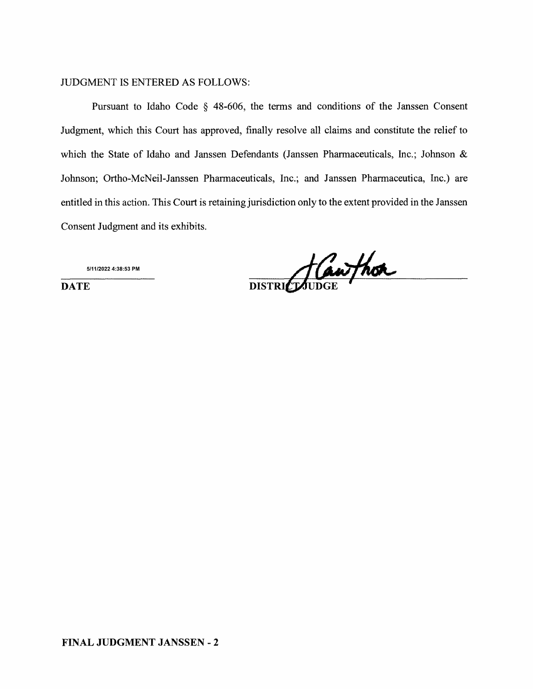## JUDGMENT IS ENTERED AS FOLLOWS:

Pursuant to Idaho Code  $\S$  48-606, the terms and conditions of the Janssen Consent Judgment, which this Court has approved, finally resolve all claims and constitute the relief to which the State of Idaho and Janssen Defendants (Janssen Pharmaceuticals, Inc.; Johnson & Johnson; Ortho-McNeil-Janssen Pharmaceuticals, Inc.; and Janssen Pharmaceutica, Inc.) are entitled in this action. This Court is retaining jurisdiction only to the extent provided in the Janssen Consent Judgment and its exhibits.

5/11I2022 4:38:53 PM

DATE DISTRICT JUDGE